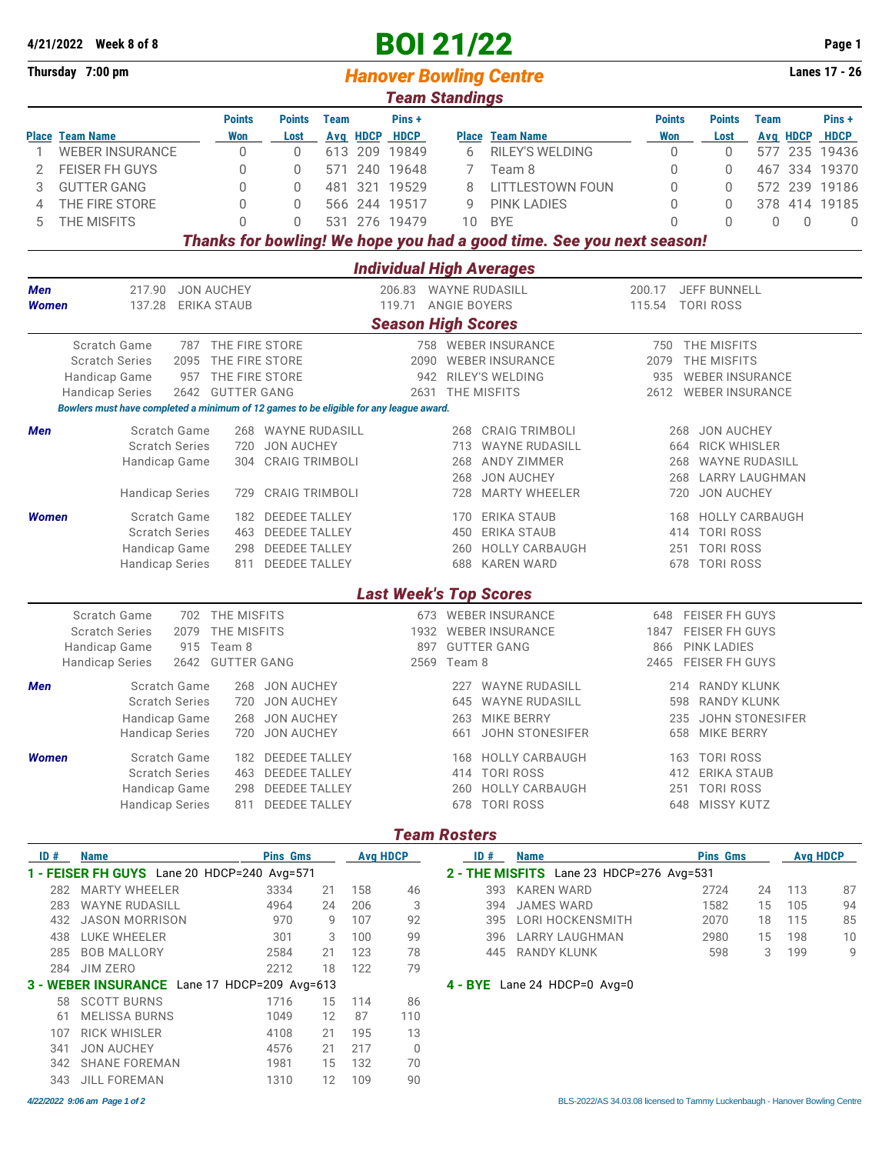|                  | 4/21/2022 Week 8 of 8                                                                  |                                        |                                         |             |          | <b>BOI 21/22</b>                                      |                     |                                             |                                                                       |                                                  |                                          |          | Page 1               |
|------------------|----------------------------------------------------------------------------------------|----------------------------------------|-----------------------------------------|-------------|----------|-------------------------------------------------------|---------------------|---------------------------------------------|-----------------------------------------------------------------------|--------------------------------------------------|------------------------------------------|----------|----------------------|
| Thursday 7:00 pm |                                                                                        |                                        |                                         |             |          | <b>Lanes 17 - 26</b><br><b>Hanover Bowling Centre</b> |                     |                                             |                                                                       |                                                  |                                          |          |                      |
|                  |                                                                                        |                                        |                                         |             |          | <b>Team Standings</b>                                 |                     |                                             |                                                                       |                                                  |                                          |          |                      |
|                  | <b>Place Team Name</b>                                                                 | <b>Points</b><br>Won                   | <b>Points</b><br>Lost                   | <b>Team</b> | Avg HDCP | Pins+<br><b>HDCP</b>                                  |                     | <b>Place Team Name</b>                      | <b>Points</b><br><b>Won</b>                                           | <b>Points</b><br>Lost                            | <b>Team</b>                              | Avg HDCP | Pins+<br><b>HDCP</b> |
| 1                | <b>WEBER INSURANCE</b>                                                                 | 0                                      | 0                                       | 613         |          | 209 19849                                             | 6                   | RILEY'S WELDING                             | 0                                                                     | 0                                                | 577                                      |          | 235 19436            |
| 2                | FEISER FH GUYS                                                                         | 0                                      | 0                                       | 571         |          | 240 19648                                             | 7                   | Team 8                                      | 0                                                                     | 0                                                | 467                                      |          | 334 19370            |
| 3                | <b>GUTTER GANG</b>                                                                     | 0                                      | 0                                       | 481         |          | 321 19529                                             | 8                   | LITTLESTOWN FOUN                            | 0                                                                     | 0                                                |                                          |          | 572 239 19186        |
| 4                | THE FIRE STORE                                                                         | 0                                      | 0                                       | 566         |          | 244 19517                                             | 9                   | <b>PINK LADIES</b>                          | 0                                                                     | 0                                                |                                          |          | 378 414 19185        |
| 5                | THE MISFITS                                                                            | $\cap$                                 | $\Omega$                                | 531         |          | 276 19479                                             | 10                  | <b>BYE</b>                                  | $\Omega$                                                              | $\Omega$                                         | $\Omega$                                 | 0        | $\mathbf 0$          |
|                  |                                                                                        |                                        |                                         |             |          |                                                       |                     |                                             | Thanks for bowling! We hope you had a good time. See you next season! |                                                  |                                          |          |                      |
|                  |                                                                                        |                                        |                                         |             |          |                                                       |                     | <b>Individual High Averages</b>             |                                                                       |                                                  |                                          |          |                      |
| Men              | 217.90                                                                                 | <b>JON AUCHEY</b>                      |                                         |             |          |                                                       |                     | 206.83 WAYNE RUDASILL                       | 200.17                                                                | <b>JEFF BUNNELL</b>                              |                                          |          |                      |
| Women            | 137.28                                                                                 | <b>ERIKA STAUB</b>                     |                                         |             |          | 119.71                                                | <b>ANGIE BOYERS</b> |                                             | 115.54                                                                | <b>TORI ROSS</b>                                 |                                          |          |                      |
|                  |                                                                                        |                                        |                                         |             |          | <b>Season High Scores</b>                             |                     |                                             |                                                                       |                                                  |                                          |          |                      |
|                  | Scratch Game                                                                           | 787 THE FIRE STORE                     |                                         |             |          |                                                       |                     | 758 WEBER INSURANCE                         |                                                                       | 750 THE MISFITS                                  |                                          |          |                      |
|                  | <b>Scratch Series</b><br>2095                                                          | THE FIRE STORE                         |                                         |             |          | 2090                                                  |                     | <b>WEBER INSURANCE</b>                      | 2079                                                                  | THE MISFITS                                      |                                          |          |                      |
|                  | Handicap Game<br><b>Handicap Series</b>                                                | 957 THE FIRE STORE<br>2642 GUTTER GANG |                                         |             |          |                                                       | 2631 THE MISFITS    | 942 RILEY'S WELDING                         | 935<br>2612                                                           | <b>WEBER INSURANCE</b><br><b>WEBER INSURANCE</b> |                                          |          |                      |
|                  | Bowlers must have completed a minimum of 12 games to be eligible for any league award. |                                        |                                         |             |          |                                                       |                     |                                             |                                                                       |                                                  |                                          |          |                      |
|                  |                                                                                        |                                        |                                         |             |          |                                                       |                     |                                             |                                                                       |                                                  |                                          |          |                      |
| Men              | Scratch Game<br><b>Scratch Series</b>                                                  | 720                                    | 268 WAYNE RUDASILL<br><b>JON AUCHEY</b> |             |          |                                                       | 268                 | <b>CRAIG TRIMBOLI</b><br>713 WAYNE RUDASILL |                                                                       | 268<br>664                                       | <b>JON AUCHEY</b><br><b>RICK WHISLER</b> |          |                      |
|                  | Handicap Game                                                                          | 304                                    | <b>CRAIG TRIMBOLI</b>                   |             |          |                                                       | 268                 | ANDY ZIMMER                                 |                                                                       | 268                                              | WAYNE RUDASILL                           |          |                      |
|                  |                                                                                        |                                        |                                         |             |          |                                                       | 268                 | <b>JON AUCHEY</b>                           |                                                                       | 268 LARRY LAUGHMAN                               |                                          |          |                      |
|                  | <b>Handicap Series</b>                                                                 | 729                                    | <b>CRAIG TRIMBOLI</b>                   |             |          |                                                       | 728                 | <b>MARTY WHEELER</b>                        |                                                                       | 720                                              | <b>JON AUCHEY</b>                        |          |                      |
| Women            | Scratch Game                                                                           |                                        | 182 DEEDEE TALLEY                       |             |          |                                                       | 170                 | ERIKA STAUB                                 |                                                                       | 168                                              | <b>HOLLY CARBAUGH</b>                    |          |                      |
|                  | <b>Scratch Series</b>                                                                  |                                        | 463 DEEDEE TALLEY                       |             |          |                                                       | 450                 | <b>ERIKA STAUB</b>                          |                                                                       | 414 TORI ROSS                                    |                                          |          |                      |
|                  | Handicap Game                                                                          | 298                                    | <b>DEEDEE TALLEY</b>                    |             |          |                                                       | 260                 | <b>HOLLY CARBAUGH</b>                       |                                                                       | 251 TORI ROSS                                    |                                          |          |                      |
|                  | <b>Handicap Series</b>                                                                 | 811                                    | DEEDEE TALLEY                           |             |          |                                                       | 688                 | <b>KAREN WARD</b>                           |                                                                       | 678 TORI ROSS                                    |                                          |          |                      |
|                  |                                                                                        |                                        |                                         |             |          |                                                       |                     | <b>Last Week's Top Scores</b>               |                                                                       |                                                  |                                          |          |                      |
|                  | Scratch Game                                                                           | 702 THE MISFITS                        |                                         |             |          |                                                       |                     | 673 WEBER INSURANCE                         | 648                                                                   | <b>FEISER FH GUYS</b>                            |                                          |          |                      |
|                  | <b>Scratch Series</b><br>2079                                                          | THE MISFITS                            |                                         |             |          |                                                       |                     | 1932 WEBER INSURANCE                        | 1847                                                                  | FEISER FH GUYS                                   |                                          |          |                      |
|                  | Handicap Game                                                                          | 915 Team 8                             |                                         |             |          | 897                                                   |                     | <b>GUTTER GANG</b>                          | 866                                                                   | <b>PINK LADIES</b>                               |                                          |          |                      |
|                  | <b>Handicap Series</b>                                                                 | 2642 GUTTER GANG                       |                                         |             |          |                                                       | 2569 Team 8         |                                             | 2465                                                                  | <b>FEISER FH GUYS</b>                            |                                          |          |                      |
| Men              | Scratch Game 268 JON AUCHEY                                                            |                                        |                                         |             |          |                                                       |                     | 227 WAYNE RUDASILL                          |                                                                       | 214 RANDY KLUNK                                  |                                          |          |                      |
|                  | <b>Scratch Series</b>                                                                  |                                        | 720 JON AUCHEY                          |             |          |                                                       |                     | 645 WAYNE RUDASILL                          |                                                                       | 598 RANDY KLUNK                                  |                                          |          |                      |
|                  | Handicap Game                                                                          | 268                                    | JON AUCHEY                              |             |          |                                                       |                     | 263 MIKE BERRY                              |                                                                       | 235 JOHN STONESIFER                              |                                          |          |                      |
|                  | <b>Handicap Series</b>                                                                 | 720                                    | <b>JON AUCHEY</b>                       |             |          |                                                       |                     | 661 JOHN STONESIFER                         |                                                                       | 658 MIKE BERRY                                   |                                          |          |                      |
| Women            | Scratch Game                                                                           |                                        | 182 DEEDEE TALLEY                       |             |          |                                                       |                     | 168 HOLLY CARBAUGH                          |                                                                       | 163 TORI ROSS                                    |                                          |          |                      |
|                  | <b>Scratch Series</b>                                                                  |                                        | 463 DEEDEE TALLEY                       |             |          |                                                       |                     | 414 TORI ROSS                               |                                                                       | 412 ERIKA STAUB                                  |                                          |          |                      |
|                  | <b>Handicap Game</b>                                                                   |                                        | 298 DEEDEE TALLEY                       |             |          |                                                       |                     | 260 HOLLY CARBAUGH                          |                                                                       | 251 TORI ROSS                                    |                                          |          |                      |
|                  | <b>Handicap Series</b>                                                                 |                                        | 811 DEEDEE TALLEY                       |             |          |                                                       |                     | 678 TORI ROSS                               |                                                                       | 648 MISSY KUTZ                                   |                                          |          |                      |
|                  |                                                                                        |                                        |                                         |             |          |                                                       | <b>Team Rosters</b> |                                             |                                                                       |                                                  |                                          |          |                      |
| ID#              | <b>Name</b>                                                                            |                                        | <b>Pins Gms</b>                         |             |          | <b>Avg HDCP</b>                                       |                     | <b>Name</b><br>ID#                          |                                                                       | <b>Pins Gms</b>                                  |                                          |          | <b>Avg HDCP</b>      |
|                  | 1 - FEISER FH GUYS Lane 20 HDCP=240 Avg=571<br>202 MADTV WHEELED                       |                                        | OQA                                     | $\Omega$ 1  | 1EQ      |                                                       |                     | 202 VADEN WADD                              | 2 - THE MISFITS Lane 23 HDCP=276 Avg=531                              | 2721                                             |                                          | 110      | O <sub>7</sub>       |

|     |                                              | ----- ---- |    | .   |                |                                          |      |    |     |    |
|-----|----------------------------------------------|------------|----|-----|----------------|------------------------------------------|------|----|-----|----|
|     | 1 - FEISER FH GUYS Lane 20 HDCP=240 Avg=571  |            |    |     |                | 2 - THE MISFITS Lane 23 HDCP=276 Avg=531 |      |    |     |    |
|     | 282 MARTY WHEELER                            | 3334       | 21 | 158 | 46             | 393 KAREN WARD                           | 2724 | 24 | 113 | 87 |
|     | 283 WAYNE RUDASILL                           | 4964       | 24 | 206 | 3              | 394 JAMES WARD                           | 1582 | 15 | 105 | 94 |
| 432 | JASON MORRISON                               | 970        | 9  | 107 | 92             | 395 LORI HOCKENSMITH                     | 2070 | 18 | 115 | 85 |
|     | 438 LUKE WHEELER                             | 301        | 3  | 100 | 99             | 396 LARRY LAUGHMAN                       | 2980 | 15 | 198 | 10 |
|     | 285 BOB MALLORY                              | 2584       | 21 | 123 | 78             | 445 RANDY KLUNK                          | 598  | 3  | 199 | 9  |
| 284 | JIM ZERO                                     | 2212       | 18 | 122 | 79             |                                          |      |    |     |    |
|     | 3 - WEBER INSURANCE Lane 17 HDCP=209 Avg=613 |            |    |     |                | $4 - BYE$ Lane 24 HDCP=0 Avg=0           |      |    |     |    |
|     | 58 SCOTT BURNS                               | 1716       | 15 | 114 | 86             |                                          |      |    |     |    |
|     | 61 MELISSA BURNS                             | 1049       | 12 | -87 | 110            |                                          |      |    |     |    |
| 107 | <b>RICK WHISLER</b>                          | 4108       | 21 | 195 | 13             |                                          |      |    |     |    |
| 341 | <b>JON AUCHEY</b>                            | 4576       | 21 | 217 | $\overline{0}$ |                                          |      |    |     |    |
|     | 342 SHANE FOREMAN                            | 1981       | 15 | 132 | 70             |                                          |      |    |     |    |
| 343 | JILL FOREMAN                                 | 1310       | 12 | 109 | 90             |                                          |      |    |     |    |
|     |                                              |            |    |     |                |                                          |      |    |     |    |